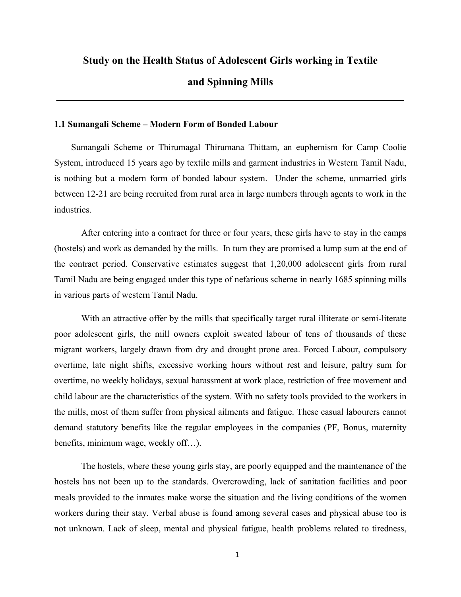#### **Study on the Health Status of Adolescent Girls working in Textile**

### **and Spinning Mills**

#### **1.1 Sumangali Scheme – Modern Form of Bonded Labour**

Sumangali Scheme or Thirumagal Thirumana Thittam, an euphemism for Camp Coolie System, introduced 15 years ago by textile mills and garment industries in Western Tamil Nadu, is nothing but a modern form of bonded labour system. Under the scheme, unmarried girls between 12-21 are being recruited from rural area in large numbers through agents to work in the industries.

After entering into a contract for three or four years, these girls have to stay in the camps (hostels) and work as demanded by the mills. In turn they are promised a lump sum at the end of the contract period. Conservative estimates suggest that 1,20,000 adolescent girls from rural Tamil Nadu are being engaged under this type of nefarious scheme in nearly 1685 spinning mills in various parts of western Tamil Nadu.

With an attractive offer by the mills that specifically target rural illiterate or semi-literate poor adolescent girls, the mill owners exploit sweated labour of tens of thousands of these migrant workers, largely drawn from dry and drought prone area. Forced Labour, compulsory overtime, late night shifts, excessive working hours without rest and leisure, paltry sum for overtime, no weekly holidays, sexual harassment at work place, restriction of free movement and child labour are the characteristics of the system. With no safety tools provided to the workers in the mills, most of them suffer from physical ailments and fatigue. These casual labourers cannot demand statutory benefits like the regular employees in the companies (PF, Bonus, maternity benefits, minimum wage, weekly off…).

The hostels, where these young girls stay, are poorly equipped and the maintenance of the hostels has not been up to the standards. Overcrowding, lack of sanitation facilities and poor meals provided to the inmates make worse the situation and the living conditions of the women workers during their stay. Verbal abuse is found among several cases and physical abuse too is not unknown. Lack of sleep, mental and physical fatigue, health problems related to tiredness,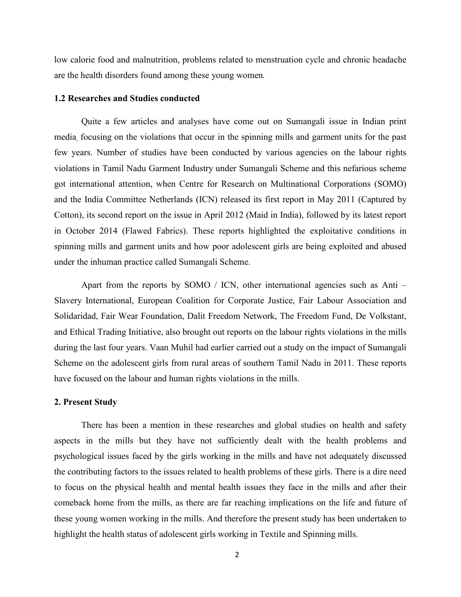low calorie food and malnutrition, problems related to menstruation cycle and chronic headache are the health disorders found among these young women*.* 

#### **1.2 Researches and Studies conducted**

Quite a few articles and analyses have come out on Sumangali issue in Indian print media, focusing on the violations that occur in the spinning mills and garment units for the past few years. Number of studies have been conducted by various agencies on the labour rights violations in Tamil Nadu Garment Industry under Sumangali Scheme and this nefarious scheme got international attention, when Centre for Research on Multinational Corporations (SOMO) and the India Committee Netherlands (ICN) released its first report in May 2011 (Captured by Cotton), its second report on the issue in April 2012 (Maid in India), followed by its latest report in October 2014 (Flawed Fabrics). These reports highlighted the exploitative conditions in spinning mills and garment units and how poor adolescent girls are being exploited and abused under the inhuman practice called Sumangali Scheme.

Apart from the reports by SOMO / ICN, other international agencies such as Anti – Slavery International, European Coalition for Corporate Justice, Fair Labour Association and Solidaridad, Fair Wear Foundation, Dalit Freedom Network, The Freedom Fund, De Volkstant, and Ethical Trading Initiative, also brought out reports on the labour rights violations in the mills during the last four years. Vaan Muhil had earlier carried out a study on the impact of Sumangali Scheme on the adolescent girls from rural areas of southern Tamil Nadu in 2011. These reports have focused on the labour and human rights violations in the mills.

#### **2. Present Study**

There has been a mention in these researches and global studies on health and safety aspects in the mills but they have not sufficiently dealt with the health problems and psychological issues faced by the girls working in the mills and have not adequately discussed the contributing factors to the issues related to health problems of these girls. There is a dire need to focus on the physical health and mental health issues they face in the mills and after their comeback home from the mills, as there are far reaching implications on the life and future of these young women working in the mills. And therefore the present study has been undertaken to highlight the health status of adolescent girls working in Textile and Spinning mills.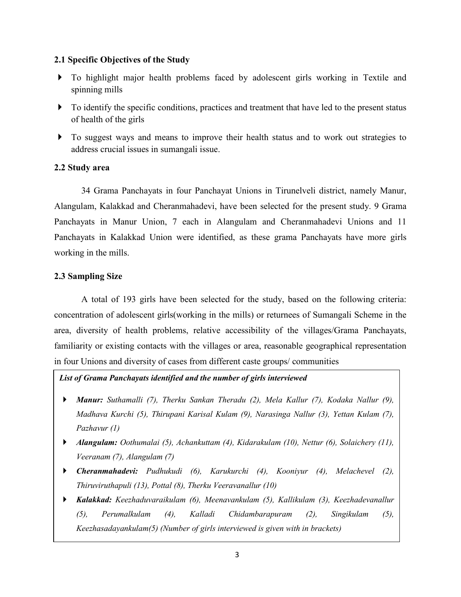## **2.1 Specific Objectives of the Study**

- To highlight major health problems faced by adolescent girls working in Textile and spinning mills
- $\triangleright$  To identify the specific conditions, practices and treatment that have led to the present status of health of the girls
- $\triangleright$  To suggest ways and means to improve their health status and to work out strategies to address crucial issues in sumangali issue.

# **2.2 Study area**

34 Grama Panchayats in four Panchayat Unions in Tirunelveli district, namely Manur, Alangulam, Kalakkad and Cheranmahadevi, have been selected for the present study. 9 Grama Panchayats in Manur Union, 7 each in Alangulam and Cheranmahadevi Unions and 11 Panchayats in Kalakkad Union were identified, as these grama Panchayats have more girls working in the mills.

# **2.3 Sampling Size**

A total of 193 girls have been selected for the study, based on the following criteria: concentration of adolescent girls(working in the mills) or returnees of Sumangali Scheme in the area, diversity of health problems, relative accessibility of the villages/Grama Panchayats, familiarity or existing contacts with the villages or area, reasonable geographical representation in four Unions and diversity of cases from different caste groups/ communities

*List of Grama Panchayats identified and the number of girls interviewed* 

- *Manur: Suthamalli (7), Therku Sankan Theradu (2), Mela Kallur (7), Kodaka Nallur (9), Madhava Kurchi (5), Thirupani Karisal Kulam (9), Narasinga Nallur (3), Yettan Kulam (7), Pazhavur (1)*
- *Alangulam: Oothumalai (5), Achankuttam (4), Kidarakulam (10), Nettur (6), Solaichery (11), Veeranam (7), Alangulam (7)*
- *Cheranmahadevi: Pudhukudi (6), Karukurchi (4), Kooniyur (4), Melachevel (2), Thiruviruthapuli (13), Pottal (8), Therku Veeravanallur (10)*
- (5), Perumalkulam (4), *Kalakkad: Keezhaduvaraikulam (6), Meenavankulam (5), Kallikulam (3), Keezhadevanallur (5), Perumalkulam (4), Kalladi Chidambarapuram (2), Singikulam (5), Keezhasadayankulam(5) (Number of girls interviewed is given with in brackets)*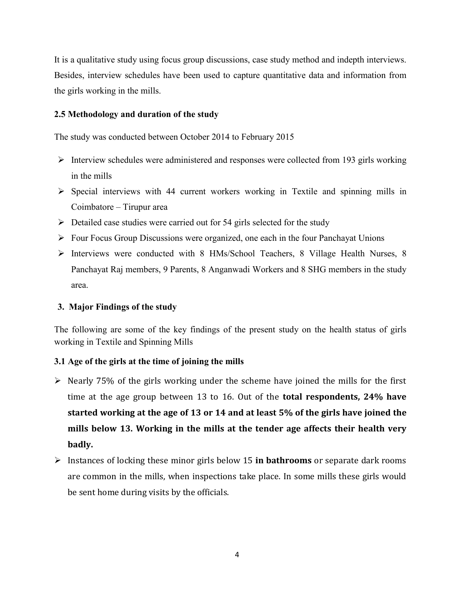It is a qualitative study using focus group discussions, case study method and indepth interviews. Besides, interview schedules have been used to capture quantitative data and information from the girls working in the mills.

# **2.5 Methodology and duration of the study**

The study was conducted between October 2014 to February 2015

- $\triangleright$  Interview schedules were administered and responses were collected from 193 girls working in the mills
- $\triangleright$  Special interviews with 44 current workers working in Textile and spinning mills in Coimbatore – Tirupur area
- $\triangleright$  Detailed case studies were carried out for 54 girls selected for the study
- $\triangleright$  Four Focus Group Discussions were organized, one each in the four Panchayat Unions
- Interviews were conducted with 8 HMs/School Teachers, 8 Village Health Nurses, 8 Panchayat Raj members, 9 Parents, 8 Anganwadi Workers and 8 SHG members in the study area.

# **3. Major Findings of the study**

The following are some of the key findings of the present study on the health status of girls working in Textile and Spinning Mills

# **3.1 Age of the girls at the time of joining the mills**

- $\triangleright$  Nearly 75% of the girls working under the scheme have joined the mills for the first time at the age group between 13 to 16. Out of the **total respondents, 24% have started working at the age of 13 or 14 and at least 5% of the girls have joined the mills below 13. Working in the mills at the tender age affects their health very badly.**
- Instances of locking these minor girls below 15 **in bathrooms** or separate dark rooms are common in the mills, when inspections take place. In some mills these girls would be sent home during visits by the officials.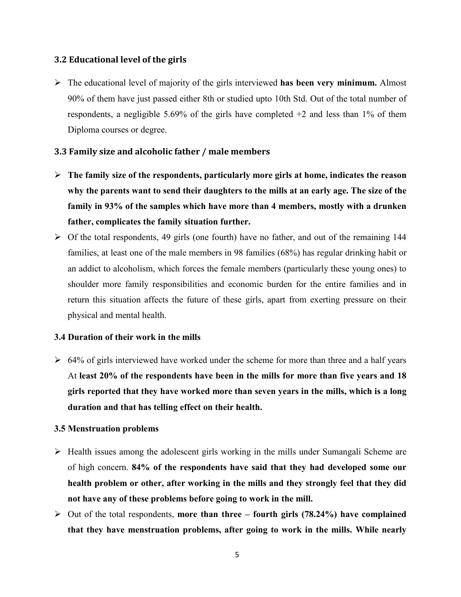## **3.2 Educational level of the girls**

 The educational level of majority of the girls interviewed **has been very minimum.** Almost 90% of them have just passed either 8th or studied upto 10th Std. Out of the total number of respondents, a negligible 5.69% of the girls have completed +2 and less than 1% of them Diploma courses or degree.

# **3.3 Family size and alcoholic father / male members**

- **The family size of the respondents, particularly more girls at home, indicates the reason why the parents want to send their daughters to the mills at an early age. The size of the family in 93% of the samples which have more than 4 members, mostly with a drunken father, complicates the family situation further.**
- $\triangleright$  Of the total respondents, 49 girls (one fourth) have no father, and out of the remaining 144 families, at least one of the male members in 98 families (68%) has regular drinking habit or an addict to alcoholism, which forces the female members (particularly these young ones) to shoulder more family responsibilities and economic burden for the entire families and in return this situation affects the future of these girls, apart from exerting pressure on their physical and mental health.

## **3.4 Duration of their work in the mills**

 $\geq 64\%$  of girls interviewed have worked under the scheme for more than three and a half years At **least 20% of the respondents have been in the mills for more than five years and 18 girls reported that they have worked more than seven years in the mills, which is a long duration and that has telling effect on their health.**

## **3.5 Menstruation problems**

- $\triangleright$  Health issues among the adolescent girls working in the mills under Sumangali Scheme are of high concern. **84% of the respondents have said that they had developed some our health problem or other, after working in the mills and they strongly feel that they did not have any of these problems before going to work in the mill.**
- Out of the total respondents, **more than three – fourth girls (78.24%) have complained that they have menstruation problems, after going to work in the mills. While nearly**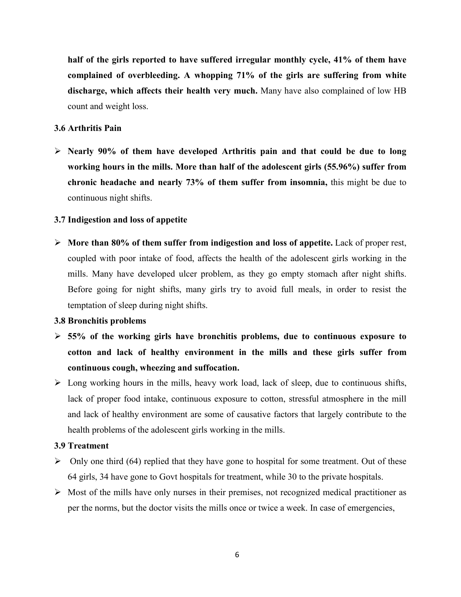**half of the girls reported to have suffered irregular monthly cycle, 41% of them have complained of overbleeding. A whopping 71% of the girls are suffering from white discharge, which affects their health very much.** Many have also complained of low HB count and weight loss.

### **3.6 Arthritis Pain**

 **Nearly 90% of them have developed Arthritis pain and that could be due to long working hours in the mills. More than half of the adolescent girls (55.96%) suffer from chronic headache and nearly 73% of them suffer from insomnia,** this might be due to continuous night shifts.

### **3.7 Indigestion and loss of appetite**

 **More than 80% of them suffer from indigestion and loss of appetite.** Lack of proper rest, coupled with poor intake of food, affects the health of the adolescent girls working in the mills. Many have developed ulcer problem, as they go empty stomach after night shifts. Before going for night shifts, many girls try to avoid full meals, in order to resist the temptation of sleep during night shifts.

#### **3.8 Bronchitis problems**

- **55% of the working girls have bronchitis problems, due to continuous exposure to cotton and lack of healthy environment in the mills and these girls suffer from continuous cough, wheezing and suffocation.**
- $\triangleright$  Long working hours in the mills, heavy work load, lack of sleep, due to continuous shifts, lack of proper food intake, continuous exposure to cotton, stressful atmosphere in the mill and lack of healthy environment are some of causative factors that largely contribute to the health problems of the adolescent girls working in the mills.

#### **3.9 Treatment**

- $\triangleright$  Only one third (64) replied that they have gone to hospital for some treatment. Out of these 64 girls, 34 have gone to Govt hospitals for treatment, while 30 to the private hospitals.
- $\triangleright$  Most of the mills have only nurses in their premises, not recognized medical practitioner as per the norms, but the doctor visits the mills once or twice a week. In case of emergencies,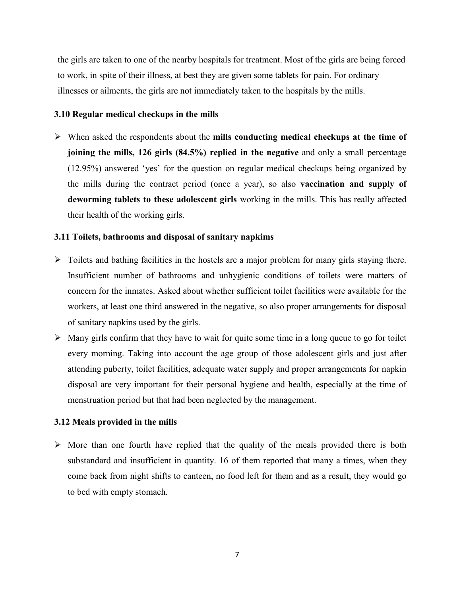the girls are taken to one of the nearby hospitals for treatment. Most of the girls are being forced to work, in spite of their illness, at best they are given some tablets for pain. For ordinary illnesses or ailments, the girls are not immediately taken to the hospitals by the mills.

## **3.10 Regular medical checkups in the mills**

 When asked the respondents about the **mills conducting medical checkups at the time of joining the mills, 126 girls (84.5%) replied in the negative** and only a small percentage (12.95%) answered 'yes' for the question on regular medical checkups being organized by the mills during the contract period (once a year), so also **vaccination and supply of deworming tablets to these adolescent girls** working in the mills. This has really affected their health of the working girls.

## **3.11 Toilets, bathrooms and disposal of sanitary napkims**

- $\triangleright$  Toilets and bathing facilities in the hostels are a major problem for many girls staying there. Insufficient number of bathrooms and unhygienic conditions of toilets were matters of concern for the inmates. Asked about whether sufficient toilet facilities were available for the workers, at least one third answered in the negative, so also proper arrangements for disposal of sanitary napkins used by the girls.
- $\triangleright$  Many girls confirm that they have to wait for quite some time in a long queue to go for toilet every morning. Taking into account the age group of those adolescent girls and just after attending puberty, toilet facilities, adequate water supply and proper arrangements for napkin disposal are very important for their personal hygiene and health, especially at the time of menstruation period but that had been neglected by the management.

# **3.12 Meals provided in the mills**

 $\triangleright$  More than one fourth have replied that the quality of the meals provided there is both substandard and insufficient in quantity. 16 of them reported that many a times, when they come back from night shifts to canteen, no food left for them and as a result, they would go to bed with empty stomach.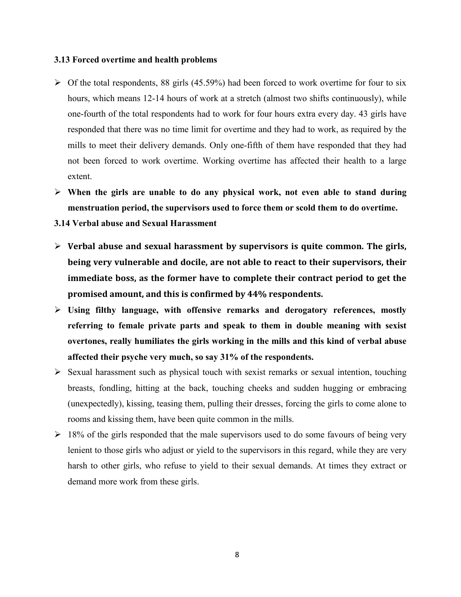#### **3.13 Forced overtime and health problems**

- $\triangleright$  Of the total respondents, 88 girls (45.59%) had been forced to work overtime for four to six hours, which means 12-14 hours of work at a stretch (almost two shifts continuously), while one-fourth of the total respondents had to work for four hours extra every day. 43 girls have responded that there was no time limit for overtime and they had to work, as required by the mills to meet their delivery demands. Only one-fifth of them have responded that they had not been forced to work overtime. Working overtime has affected their health to a large extent.
- **When the girls are unable to do any physical work, not even able to stand during menstruation period, the supervisors used to force them or scold them to do overtime.**
- **3.14 Verbal abuse and Sexual Harassment**
- **Verbal abuse and sexual harassment by supervisors is quite common. The girls, being very vulnerable and docile, are not able to react to their supervisors, their immediate boss, as the former have to complete their contract period to get the promised amount, and this is confirmed by 44% respondents.**
- **Using filthy language, with offensive remarks and derogatory references, mostly referring to female private parts and speak to them in double meaning with sexist overtones, really humiliates the girls working in the mills and this kind of verbal abuse affected their psyche very much, so say 31% of the respondents.**
- $\triangleright$  Sexual harassment such as physical touch with sexist remarks or sexual intention, touching breasts, fondling, hitting at the back, touching cheeks and sudden hugging or embracing (unexpectedly), kissing, teasing them, pulling their dresses, forcing the girls to come alone to rooms and kissing them, have been quite common in the mills.
- $\geq 18\%$  of the girls responded that the male supervisors used to do some favours of being very lenient to those girls who adjust or yield to the supervisors in this regard, while they are very harsh to other girls, who refuse to yield to their sexual demands. At times they extract or demand more work from these girls.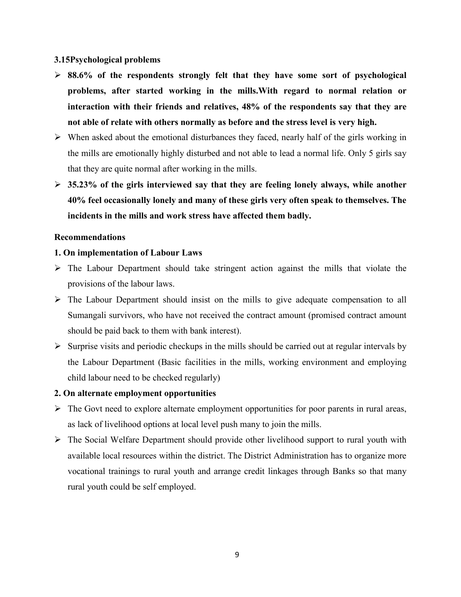## **3.15Psychological problems**

- **88.6% of the respondents strongly felt that they have some sort of psychological problems, after started working in the mills.With regard to normal relation or interaction with their friends and relatives, 48% of the respondents say that they are not able of relate with others normally as before and the stress level is very high.**
- $\triangleright$  When asked about the emotional disturbances they faced, nearly half of the girls working in the mills are emotionally highly disturbed and not able to lead a normal life. Only 5 girls say that they are quite normal after working in the mills.
- **35.23% of the girls interviewed say that they are feeling lonely always, while another 40% feel occasionally lonely and many of these girls very often speak to themselves. The incidents in the mills and work stress have affected them badly.**

### **Recommendations**

## **1. On implementation of Labour Laws**

- $\triangleright$  The Labour Department should take stringent action against the mills that violate the provisions of the labour laws.
- $\triangleright$  The Labour Department should insist on the mills to give adequate compensation to all Sumangali survivors, who have not received the contract amount (promised contract amount should be paid back to them with bank interest).
- $\triangleright$  Surprise visits and periodic checkups in the mills should be carried out at regular intervals by the Labour Department (Basic facilities in the mills, working environment and employing child labour need to be checked regularly)

## **2. On alternate employment opportunities**

- $\triangleright$  The Govt need to explore alternate employment opportunities for poor parents in rural areas, as lack of livelihood options at local level push many to join the mills.
- $\triangleright$  The Social Welfare Department should provide other livelihood support to rural youth with available local resources within the district. The District Administration has to organize more vocational trainings to rural youth and arrange credit linkages through Banks so that many rural youth could be self employed.